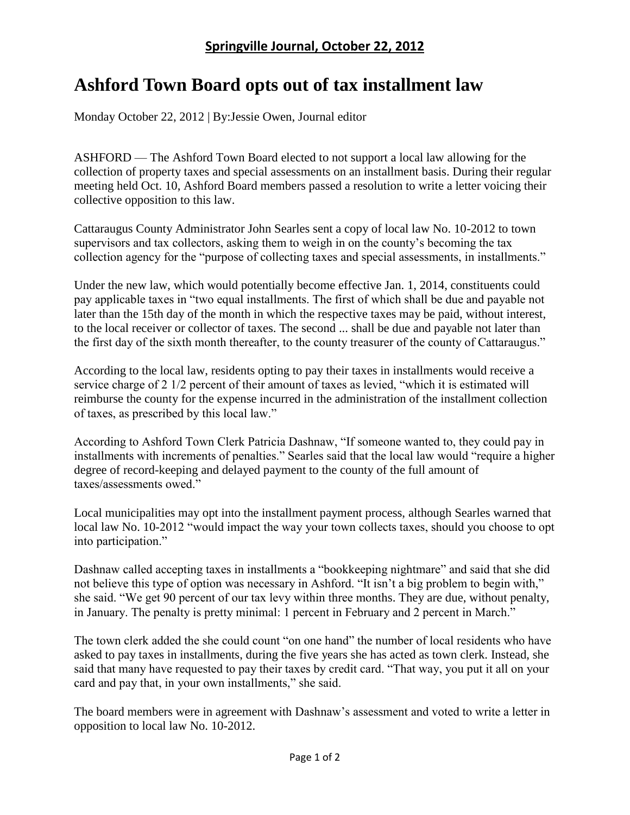## **Ashford Town Board opts out of tax installment law**

Monday October 22, 2012 | By:Jessie Owen, Journal editor

ASHFORD — The Ashford Town Board elected to not support a local law allowing for the collection of property taxes and special assessments on an installment basis. During their regular meeting held Oct. 10, Ashford Board members passed a resolution to write a letter voicing their collective opposition to this law.

Cattaraugus County Administrator John Searles sent a copy of local law No. 10-2012 to town supervisors and tax collectors, asking them to weigh in on the county's becoming the tax collection agency for the "purpose of collecting taxes and special assessments, in installments."

Under the new law, which would potentially become effective Jan. 1, 2014, constituents could pay applicable taxes in "two equal installments. The first of which shall be due and payable not later than the 15th day of the month in which the respective taxes may be paid, without interest, to the local receiver or collector of taxes. The second ... shall be due and payable not later than the first day of the sixth month thereafter, to the county treasurer of the county of Cattaraugus."

According to the local law, residents opting to pay their taxes in installments would receive a service charge of 2 1/2 percent of their amount of taxes as levied, "which it is estimated will reimburse the county for the expense incurred in the administration of the installment collection of taxes, as prescribed by this local law."

According to Ashford Town Clerk Patricia Dashnaw, "If someone wanted to, they could pay in installments with increments of penalties." Searles said that the local law would "require a higher degree of record-keeping and delayed payment to the county of the full amount of taxes/assessments owed."

Local municipalities may opt into the installment payment process, although Searles warned that local law No. 10-2012 "would impact the way your town collects taxes, should you choose to opt into participation."

Dashnaw called accepting taxes in installments a "bookkeeping nightmare" and said that she did not believe this type of option was necessary in Ashford. "It isn't a big problem to begin with," she said. "We get 90 percent of our tax levy within three months. They are due, without penalty, in January. The penalty is pretty minimal: 1 percent in February and 2 percent in March."

The town clerk added the she could count "on one hand" the number of local residents who have asked to pay taxes in installments, during the five years she has acted as town clerk. Instead, she said that many have requested to pay their taxes by credit card. "That way, you put it all on your card and pay that, in your own installments," she said.

The board members were in agreement with Dashnaw's assessment and voted to write a letter in opposition to local law No. 10-2012.